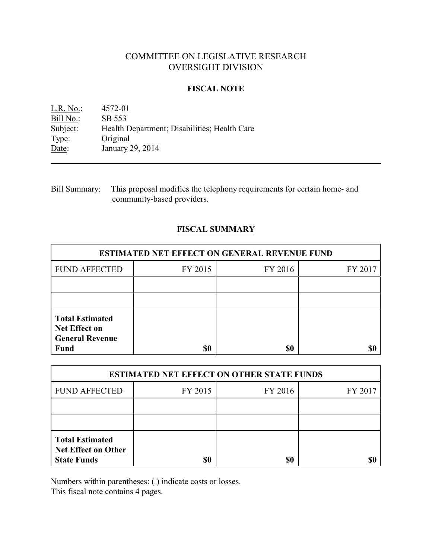# COMMITTEE ON LEGISLATIVE RESEARCH OVERSIGHT DIVISION

### **FISCAL NOTE**

L.R. No.: 4572-01 Bill No.: SB 553<br>Subject: Health I Health Department; Disabilities; Health Care Type: Original Date: January 29, 2014

Bill Summary: This proposal modifies the telephony requirements for certain home- and community-based providers.

## **FISCAL SUMMARY**

| <b>ESTIMATED NET EFFECT ON GENERAL REVENUE FUND</b>                                     |         |         |         |  |
|-----------------------------------------------------------------------------------------|---------|---------|---------|--|
| <b>FUND AFFECTED</b>                                                                    | FY 2015 | FY 2016 | FY 2017 |  |
|                                                                                         |         |         |         |  |
|                                                                                         |         |         |         |  |
| <b>Total Estimated</b><br><b>Net Effect on</b><br><b>General Revenue</b><br><b>Fund</b> | \$0     | \$0     |         |  |

| <b>ESTIMATED NET EFFECT ON OTHER STATE FUNDS</b>                    |         |         |         |  |
|---------------------------------------------------------------------|---------|---------|---------|--|
| <b>FUND AFFECTED</b>                                                | FY 2015 | FY 2016 | FY 2017 |  |
|                                                                     |         |         |         |  |
|                                                                     |         |         |         |  |
| <b>Total Estimated</b><br>Net Effect on Other<br><b>State Funds</b> | \$0     | \$0     |         |  |

Numbers within parentheses: ( ) indicate costs or losses.

This fiscal note contains 4 pages.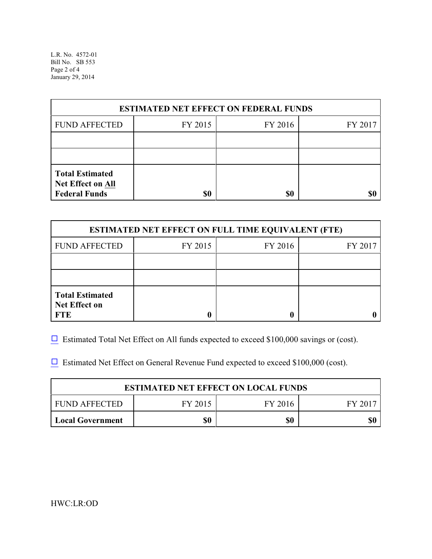L.R. No. 4572-01 Bill No. SB 553 Page 2 of 4 January 29, 2014

| <b>ESTIMATED NET EFFECT ON FEDERAL FUNDS</b>                        |         |         |         |  |
|---------------------------------------------------------------------|---------|---------|---------|--|
| <b>FUND AFFECTED</b>                                                | FY 2015 | FY 2016 | FY 2017 |  |
|                                                                     |         |         |         |  |
|                                                                     |         |         |         |  |
| <b>Total Estimated</b><br>Net Effect on All<br><b>Federal Funds</b> | \$0     | \$0     |         |  |

| <b>ESTIMATED NET EFFECT ON FULL TIME EQUIVALENT (FTE)</b>    |         |         |         |  |
|--------------------------------------------------------------|---------|---------|---------|--|
| <b>FUND AFFECTED</b>                                         | FY 2015 | FY 2016 | FY 2017 |  |
|                                                              |         |         |         |  |
|                                                              |         |         |         |  |
| <b>Total Estimated</b><br><b>Net Effect on</b><br><b>FTE</b> |         |         |         |  |

 $\Box$  Estimated Total Net Effect on All funds expected to exceed \$100,000 savings or (cost).

 $\Box$  Estimated Net Effect on General Revenue Fund expected to exceed \$100,000 (cost).

| <b>ESTIMATED NET EFFECT ON LOCAL FUNDS</b> |         |         |       |  |
|--------------------------------------------|---------|---------|-------|--|
| FUND AFFECTED                              | FY 2015 | FY 2016 | FV 20 |  |
| <b>Local Government</b>                    | \$0     | \$0     |       |  |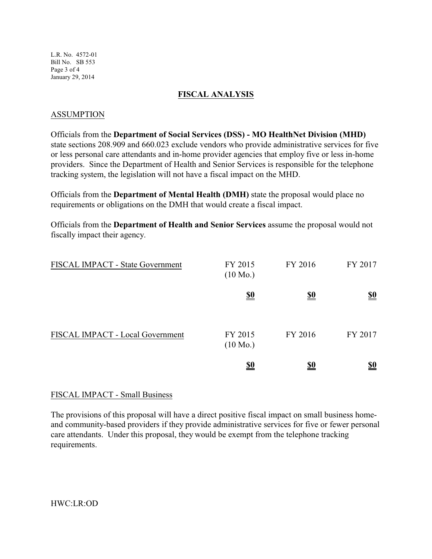L.R. No. 4572-01 Bill No. SB 553 Page 3 of 4 January 29, 2014

### **FISCAL ANALYSIS**

## ASSUMPTION

Officials from the **Department of Social Services (DSS) - MO HealthNet Division (MHD)** state sections 208.909 and 660.023 exclude vendors who provide administrative services for five or less personal care attendants and in-home provider agencies that employ five or less in-home providers. Since the Department of Health and Senior Services is responsible for the telephone tracking system, the legislation will not have a fiscal impact on the MHD.

Officials from the **Department of Mental Health (DMH)** state the proposal would place no requirements or obligations on the DMH that would create a fiscal impact.

Officials from the **Department of Health and Senior Services** assume the proposal would not fiscally impact their agency.

| FISCAL IMPACT - State Government | FY 2015<br>$(10 \text{ Mo.})$ | FY 2016    | FY 2017    |
|----------------------------------|-------------------------------|------------|------------|
|                                  | <u>\$0</u>                    | <u>\$0</u> | <u>\$0</u> |
| FISCAL IMPACT - Local Government | FY 2015<br>$(10 \text{ Mo.})$ | FY 2016    | FY 2017    |
|                                  | <u>\$0</u>                    | <u>\$0</u> | <u>\$0</u> |

### FISCAL IMPACT - Small Business

The provisions of this proposal will have a direct positive fiscal impact on small business homeand community-based providers if they provide administrative services for five or fewer personal care attendants. Under this proposal, they would be exempt from the telephone tracking requirements.

HWC:LR:OD